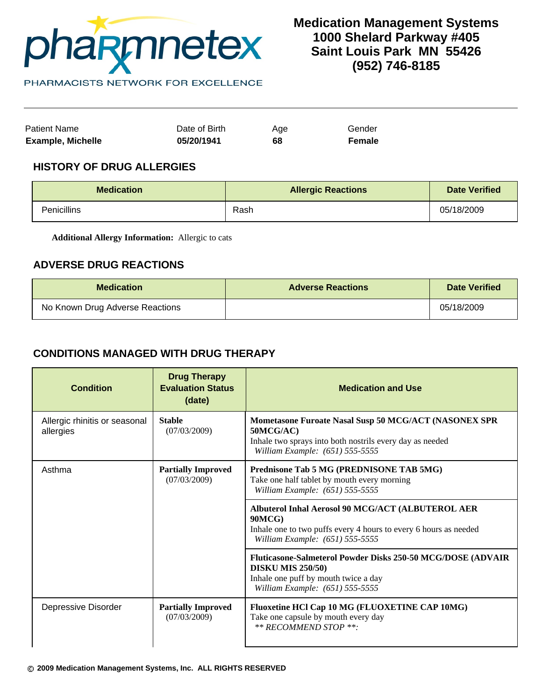

Patient Name **Date of Birth** Age Gender **Example, Michelle 05/20/1941 68 Female**

## **HISTORY OF DRUG ALLERGIES**

| <b>Medication</b>  | <b>Allergic Reactions</b> | <b>Date Verified</b> |
|--------------------|---------------------------|----------------------|
| <b>Penicillins</b> | Rash                      | 05/18/2009           |

**Additional Allergy Information:** Allergic to cats

## **ADVERSE DRUG REACTIONS**

| <b>Medication</b>               | <b>Adverse Reactions</b> | Date Verified |
|---------------------------------|--------------------------|---------------|
| No Known Drug Adverse Reactions |                          | 05/18/2009    |

# **CONDITIONS MANAGED WITH DRUG THERAPY**

| <b>Condition</b>                           | <b>Drug Therapy</b><br><b>Evaluation Status</b><br>(date) | <b>Medication and Use</b>                                                                                                                                          |
|--------------------------------------------|-----------------------------------------------------------|--------------------------------------------------------------------------------------------------------------------------------------------------------------------|
| Allergic rhinitis or seasonal<br>allergies | <b>Stable</b><br>(07/03/2009)                             | Mometasone Furoate Nasal Susp 50 MCG/ACT (NASONEX SPR<br>50MCG/AC)<br>Inhale two sprays into both nostrils every day as needed<br>William Example: (651) 555-5555  |
| Asthma                                     | <b>Partially Improved</b><br>(07/03/2009)                 | Prednisone Tab 5 MG (PREDNISONE TAB 5MG)<br>Take one half tablet by mouth every morning<br>William Example: (651) 555-5555                                         |
|                                            |                                                           | Albuterol Inhal Aerosol 90 MCG/ACT (ALBUTEROL AER<br>90MCG<br>Inhale one to two puffs every 4 hours to every 6 hours as needed<br>William Example: (651) 555-5555  |
|                                            |                                                           | Fluticasone-Salmeterol Powder Disks 250-50 MCG/DOSE (ADVAIR<br><b>DISKU MIS 250/50)</b><br>Inhale one puff by mouth twice a day<br>William Example: (651) 555-5555 |
| Depressive Disorder                        | <b>Partially Improved</b><br>(07/03/2009)                 | Fluoxetine HCl Cap 10 MG (FLUOXETINE CAP 10MG)<br>Take one capsule by mouth every day<br>** RECOMMEND STOP **:                                                     |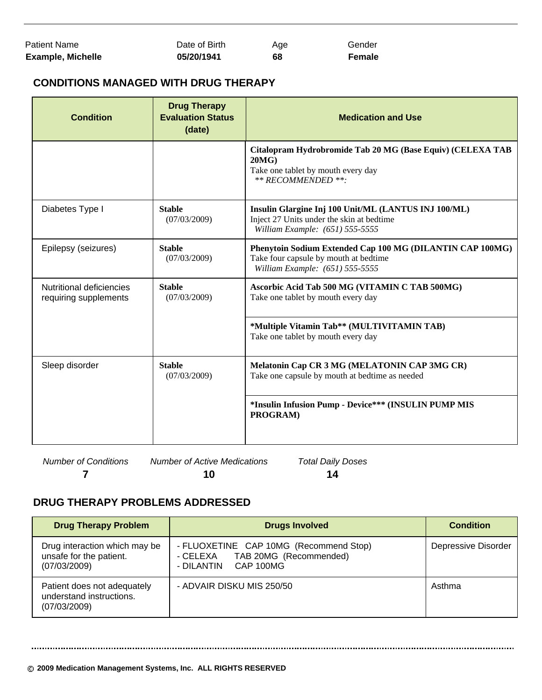| Patient Name             | Date of Birth | Age | Gender |
|--------------------------|---------------|-----|--------|
| <b>Example, Michelle</b> | 05/20/1941    | 68  | Female |

# **CONDITIONS MANAGED WITH DRUG THERAPY**

| <b>Condition</b>                                  | <b>Drug Therapy</b><br><b>Evaluation Status</b><br>(date) | <b>Medication and Use</b>                                                                                                             |
|---------------------------------------------------|-----------------------------------------------------------|---------------------------------------------------------------------------------------------------------------------------------------|
|                                                   |                                                           | Citalopram Hydrobromide Tab 20 MG (Base Equiv) (CELEXA TAB<br>20MG<br>Take one tablet by mouth every day<br>** RECOMMENDED **:        |
| Diabetes Type I                                   | <b>Stable</b><br>(07/03/2009)                             | Insulin Glargine Inj 100 Unit/ML (LANTUS INJ 100/ML)<br>Inject 27 Units under the skin at bedtime<br>William Example: (651) 555-5555  |
| Epilepsy (seizures)                               | <b>Stable</b><br>(07/03/2009)                             | Phenytoin Sodium Extended Cap 100 MG (DILANTIN CAP 100MG)<br>Take four capsule by mouth at bedtime<br>William Example: (651) 555-5555 |
| Nutritional deficiencies<br>requiring supplements | <b>Stable</b><br>(07/03/2009)                             | Ascorbic Acid Tab 500 MG (VITAMIN C TAB 500MG)<br>Take one tablet by mouth every day                                                  |
|                                                   |                                                           | *Multiple Vitamin Tab** (MULTIVITAMIN TAB)<br>Take one tablet by mouth every day                                                      |
| Sleep disorder                                    | <b>Stable</b><br>(07/03/2009)                             | Melatonin Cap CR 3 MG (MELATONIN CAP 3MG CR)<br>Take one capsule by mouth at bedtime as needed                                        |
|                                                   |                                                           | *Insulin Infusion Pump - Device*** (INSULIN PUMP MIS<br>PROGRAM)                                                                      |

*Number of Conditions Number of Active Medications Total Daily Doses* **7 10 14**

# **DRUG THERAPY PROBLEMS ADDRESSED**

| <b>Drug Therapy Problem</b>                                              | <b>Drugs Involved</b>                                                                                | <b>Condition</b>    |
|--------------------------------------------------------------------------|------------------------------------------------------------------------------------------------------|---------------------|
| Drug interaction which may be<br>unsafe for the patient.<br>(07/03/2009) | - FLUOXETINE CAP 10MG (Recommend Stop)<br>TAB 20MG (Recommended)<br>- CELEXA<br>- DILANTIN CAP 100MG | Depressive Disorder |
| Patient does not adequately<br>understand instructions.<br>(07/03/2009)  | - ADVAIR DISKU MIS 250/50                                                                            | Asthma              |